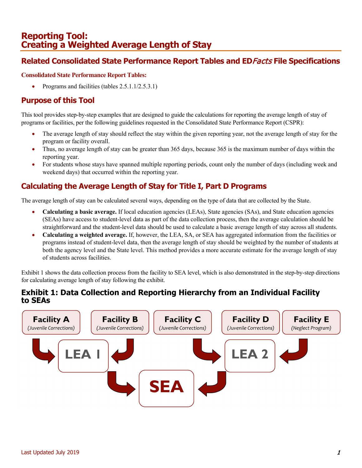# **Reporting Tool: Creating a Weighted Average Length of Stay**

## **Related Consolidated State Performance Report Tables and ED**Facts **File Specifications**

#### **Consolidated State Performance Report Tables:**

• Programs and facilities (tables 2.5.1.1/2.5.3.1)

### **Purpose of this Tool**

This tool provides step-by-step examples that are designed to guide the calculations for reporting the average length of stay of programs or facilities, per the following guidelines requested in the Consolidated State Performance Report (CSPR):

- The average length of stay should reflect the stay within the given reporting year, not the average length of stay for the program or facility overall.
- Thus, no average length of stay can be greater than 365 days, because 365 is the maximum number of days within the reporting year.
- For students whose stays have spanned multiple reporting periods, count only the number of days (including week and weekend days) that occurred within the reporting year.

## **Calculating the Average Length of Stay for Title I, Part D Programs**

The average length of stay can be calculated several ways, depending on the type of data that are collected by the State.

- **Calculating a basic average.** If local education agencies (LEAs), State agencies (SAs), and State education agencies (SEAs) have access to student-level data as part of the data collection process, then the average calculation should be straightforward and the student-level data should be used to calculate a basic average length of stay across all students.
- **Calculating a weighted average.** If, however, the LEA, SA, or SEA has aggregated information from the facilities or programs instead of student-level data, then the average length of stay should be weighted by the number of students at both the agency level and the State level. This method provides a more accurate estimate for the average length of stay of students across facilities.

Exhibit 1 shows the data collection process from the facility to SEA level, which is also demonstrated in the step-by-step directions for calculating average length of stay following the exhibit.

### **Exhibit 1: Data Collection and Reporting Hierarchy from an Individual Facility to SEAs**

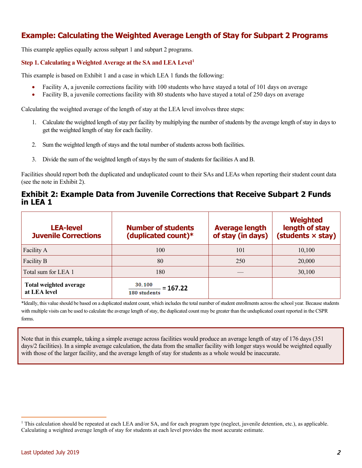## **Example: Calculating the Weighted Average Length of Stay for Subpart 2 Programs**

This example applies equally across subpart 1 and subpart 2 programs.

#### **Step 1. Calculating a Weighted Average at the SA and LEA Leve[l1](#page-1-0)**

This example is based on Exhibit 1 and a case in which LEA 1 funds the following:

- Facility A, a juvenile corrections facility with 100 students who have stayed a total of 101 days on average
- Facility B, a juvenile corrections facility with 80 students who have stayed a total of 250 days on average

Calculating the weighted average of the length of stay at the LEA level involves three steps:

- 1. Calculate the weighted length of stay per facility by multiplying the number of students by the average length of stay in days to get the weighted length of stay for each facility.
- 2. Sum the weighted length of stays and the total number of students across both facilities.
- 3. Divide the sum of the weighted length of stays by the sum of students for facilities A and B.

Facilities should report both the duplicated and unduplicated count to their SAs and LEAs when reporting their student count data (see the note in Exhibit 2).

#### **Exhibit 2: Example Data from Juvenile Corrections that Receive Subpart 2 Funds in LEA 1**

| <b>LEA-level</b><br><b>Juvenile Corrections</b> | <b>Number of students</b><br>(duplicated count)* | <b>Average length</b><br>of stay (in days) | <b>Weighted</b><br>length of stay<br>(students × stay) |
|-------------------------------------------------|--------------------------------------------------|--------------------------------------------|--------------------------------------------------------|
| Facility A                                      | 100                                              | 101                                        | 10,100                                                 |
| Facility B                                      | 80                                               | 250                                        | 20,000                                                 |
| Total sum for LEA 1                             | 180                                              |                                            | 30,100                                                 |
| <b>Total weighted average</b><br>at LEA level   | 30,100<br>$= 167.22$<br><b>180 students</b>      |                                            |                                                        |

\*Ideally, this value should be based on a duplicated student count, which includes the total number of student enrollments across the school year. Because students with multiple visits can be used to calculate the average length of stay, the duplicated count may be greater than the unduplicated count reported in the CSPR forms.

Note that in this example, taking a simple average across facilities would produce an average length of stay of 176 days (351 days/2 facilities). In a simple average calculation, the data from the smaller facility with longer stays would be weighted equally with those of the larger facility, and the average length of stay for students as a whole would be inaccurate.

<span id="page-1-0"></span><sup>&</sup>lt;sup>1</sup> This calculation should be repeated at each LEA and/or SA, and for each program type (neglect, juvenile detention, etc.), as applicable. Calculating a weighted average length of stay for students at each level provides the most accurate estimate.